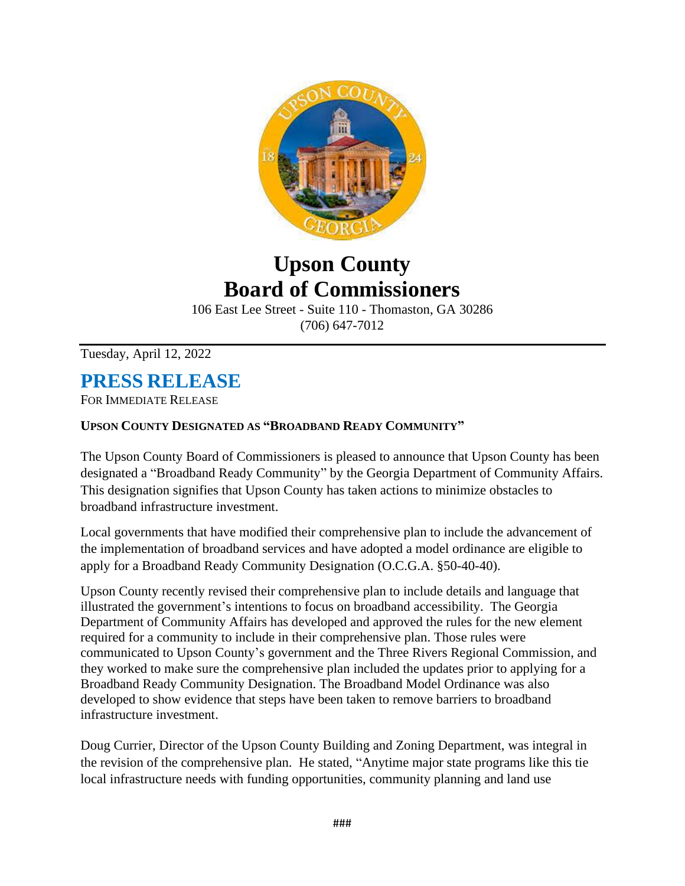

## **Upson County Board of Commissioners**

106 East Lee Street - Suite 110 - Thomaston, GA 30286 (706) 647-7012

Tuesday, April 12, 2022

## **PRESS RELEASE**

FOR IMMEDIATE RELEASE

## **UPSON COUNTY DESIGNATED AS "BROADBAND READY COMMUNITY"**

The Upson County Board of Commissioners is pleased to announce that Upson County has been designated a "Broadband Ready Community" by the Georgia Department of Community Affairs. This designation signifies that Upson County has taken actions to minimize obstacles to broadband infrastructure investment.

Local governments that have modified their comprehensive plan to include the advancement of the implementation of broadband services and have adopted a model ordinance are eligible to apply for a Broadband Ready Community Designation (O.C.G.A. §50-40-40).

Upson County recently revised their comprehensive plan to include details and language that illustrated the government's intentions to focus on broadband accessibility. The Georgia Department of Community Affairs has developed and approved the rules for the new element required for a community to include in their comprehensive plan. Those rules were communicated to Upson County's government and the Three Rivers Regional Commission, and they worked to make sure the comprehensive plan included the updates prior to applying for a Broadband Ready Community Designation. The Broadband Model Ordinance was also developed to show evidence that steps have been taken to remove barriers to broadband infrastructure investment.

Doug Currier, Director of the Upson County Building and Zoning Department, was integral in the revision of the comprehensive plan. He stated, "Anytime major state programs like this tie local infrastructure needs with funding opportunities, community planning and land use